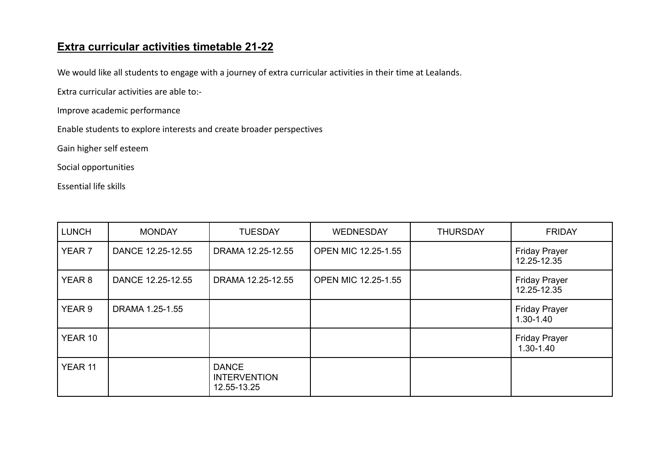## **Extra curricular activities timetable 21-22**

We would like all students to engage with a journey of extra curricular activities in their time at Lealands.

Extra curricular activities are able to:-

Improve academic performance

Enable students to explore interests and create broader perspectives

Gain higher self esteem

Social opportunities

Essential life skills

| LUNCH             | <b>MONDAY</b>     | <b>TUESDAY</b>                                     | <b>WEDNESDAY</b>           | <b>THURSDAY</b> | <b>FRIDAY</b>                         |
|-------------------|-------------------|----------------------------------------------------|----------------------------|-----------------|---------------------------------------|
| YEAR <sub>7</sub> | DANCE 12.25-12.55 | DRAMA 12.25-12.55                                  | <b>OPEN MIC 12.25-1.55</b> |                 | <b>Friday Prayer</b><br>12.25-12.35   |
| YEAR <sub>8</sub> | DANCE 12.25-12.55 | DRAMA 12.25-12.55                                  | <b>OPEN MIC 12.25-1.55</b> |                 | <b>Friday Prayer</b><br>12.25-12.35   |
| YEAR 9            | DRAMA 1.25-1.55   |                                                    |                            |                 | <b>Friday Prayer</b><br>$1.30 - 1.40$ |
| YEAR 10           |                   |                                                    |                            |                 | <b>Friday Prayer</b><br>1.30-1.40     |
| YEAR 11           |                   | <b>DANCE</b><br><b>INTERVENTION</b><br>12.55-13.25 |                            |                 |                                       |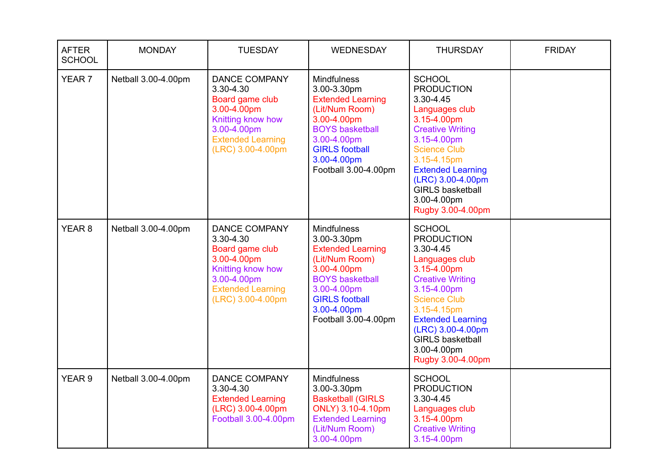| <b>AFTER</b><br><b>SCHOOL</b> | <b>MONDAY</b>       | <b>TUESDAY</b>                                                                                                                                           | <b>WEDNESDAY</b>                                                                                                                                                                                        | <b>THURSDAY</b>                                                                                                                                                                                                                                                                  | <b>FRIDAY</b> |
|-------------------------------|---------------------|----------------------------------------------------------------------------------------------------------------------------------------------------------|---------------------------------------------------------------------------------------------------------------------------------------------------------------------------------------------------------|----------------------------------------------------------------------------------------------------------------------------------------------------------------------------------------------------------------------------------------------------------------------------------|---------------|
| YEAR 7                        | Netball 3.00-4.00pm | <b>DANCE COMPANY</b><br>3.30-4.30<br>Board game club<br>3.00-4.00pm<br>Knitting know how<br>3.00-4.00pm<br><b>Extended Learning</b><br>(LRC) 3.00-4.00pm | <b>Mindfulness</b><br>3.00-3.30pm<br><b>Extended Learning</b><br>(Lit/Num Room)<br>3.00-4.00pm<br><b>BOYS basketball</b><br>3.00-4.00pm<br><b>GIRLS football</b><br>3.00-4.00pm<br>Football 3.00-4.00pm | <b>SCHOOL</b><br><b>PRODUCTION</b><br>3.30-4.45<br>Languages club<br>3.15-4.00pm<br><b>Creative Writing</b><br>3.15-4.00pm<br><b>Science Club</b><br>3.15-4.15pm<br><b>Extended Learning</b><br>(LRC) 3.00-4.00pm<br><b>GIRLS basketball</b><br>3.00-4.00pm<br>Rugby 3.00-4.00pm |               |
| YEAR <sub>8</sub>             | Netball 3.00-4.00pm | <b>DANCE COMPANY</b><br>3.30-4.30<br>Board game club<br>3.00-4.00pm<br>Knitting know how<br>3.00-4.00pm<br><b>Extended Learning</b><br>(LRC) 3.00-4.00pm | <b>Mindfulness</b><br>3.00-3.30pm<br><b>Extended Learning</b><br>(Lit/Num Room)<br>3.00-4.00pm<br><b>BOYS basketball</b><br>3.00-4.00pm<br><b>GIRLS football</b><br>3.00-4.00pm<br>Football 3.00-4.00pm | <b>SCHOOL</b><br><b>PRODUCTION</b><br>3.30-4.45<br>Languages club<br>3.15-4.00pm<br><b>Creative Writing</b><br>3.15-4.00pm<br><b>Science Club</b><br>3.15-4.15pm<br><b>Extended Learning</b><br>(LRC) 3.00-4.00pm<br><b>GIRLS basketball</b><br>3.00-4.00pm<br>Rugby 3.00-4.00pm |               |
| YEAR <sub>9</sub>             | Netball 3.00-4.00pm | <b>DANCE COMPANY</b><br>3.30-4.30<br><b>Extended Learning</b><br>(LRC) 3.00-4.00pm<br>Football 3.00-4.00pm                                               | <b>Mindfulness</b><br>3.00-3.30pm<br><b>Basketball (GIRLS</b><br>ONLY) 3.10-4.10pm<br><b>Extended Learning</b><br>(Lit/Num Room)<br>3.00-4.00pm                                                         | <b>SCHOOL</b><br><b>PRODUCTION</b><br>3.30-4.45<br>Languages club<br>3.15-4.00pm<br><b>Creative Writing</b><br>3.15-4.00pm                                                                                                                                                       |               |